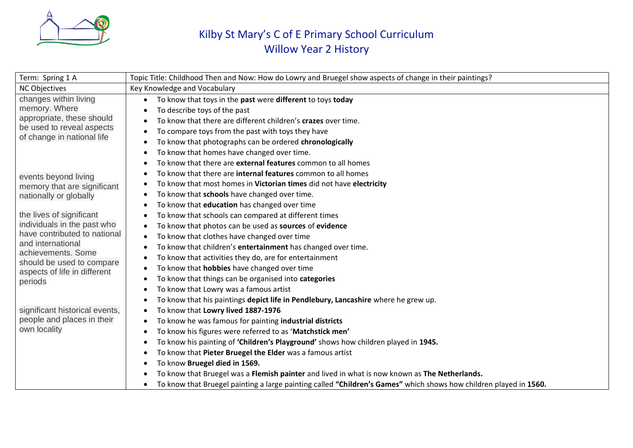

## Kilby St Mary's C of E Primary School Curriculum Willow Year 2 History

| Term: Spring 1 A                                                                                                                                                                                           | Topic Title: Childhood Then and Now: How do Lowry and Bruegel show aspects of change in their paintings?                                                                                                                                                                                                                                                                                                                                                                                                                                                                                                                                                                            |
|------------------------------------------------------------------------------------------------------------------------------------------------------------------------------------------------------------|-------------------------------------------------------------------------------------------------------------------------------------------------------------------------------------------------------------------------------------------------------------------------------------------------------------------------------------------------------------------------------------------------------------------------------------------------------------------------------------------------------------------------------------------------------------------------------------------------------------------------------------------------------------------------------------|
| <b>NC Objectives</b>                                                                                                                                                                                       | Key Knowledge and Vocabulary                                                                                                                                                                                                                                                                                                                                                                                                                                                                                                                                                                                                                                                        |
| changes within living<br>memory. Where<br>appropriate, these should<br>be used to reveal aspects<br>of change in national life                                                                             | To know that toys in the past were different to toys today<br>To describe toys of the past                                                                                                                                                                                                                                                                                                                                                                                                                                                                                                                                                                                          |
|                                                                                                                                                                                                            | To know that there are different children's crazes over time.<br>To compare toys from the past with toys they have<br>٠<br>To know that photographs can be ordered chronologically<br>$\bullet$                                                                                                                                                                                                                                                                                                                                                                                                                                                                                     |
|                                                                                                                                                                                                            | To know that homes have changed over time.<br>To know that there are external features common to all homes<br>To know that there are <b>internal features</b> common to all homes                                                                                                                                                                                                                                                                                                                                                                                                                                                                                                   |
| events beyond living<br>memory that are significant<br>nationally or globally                                                                                                                              | To know that most homes in Victorian times did not have electricity<br>$\bullet$<br>To know that schools have changed over time.<br>To know that education has changed over time                                                                                                                                                                                                                                                                                                                                                                                                                                                                                                    |
| the lives of significant<br>individuals in the past who<br>have contributed to national<br>and international<br>achievements. Some<br>should be used to compare<br>aspects of life in different<br>periods | To know that schools can compared at different times<br>To know that photos can be used as sources of evidence<br>$\bullet$<br>To know that clothes have changed over time<br>$\bullet$<br>To know that children's entertainment has changed over time.                                                                                                                                                                                                                                                                                                                                                                                                                             |
|                                                                                                                                                                                                            | To know that activities they do, are for entertainment<br>٠<br>To know that <b>hobbies</b> have changed over time<br>٠<br>To know that things can be organised into categories<br>To know that Lowry was a famous artist                                                                                                                                                                                                                                                                                                                                                                                                                                                            |
| significant historical events,<br>people and places in their<br>own locality                                                                                                                               | To know that his paintings depict life in Pendlebury, Lancashire where he grew up.<br>To know that Lowry lived 1887-1976<br>$\bullet$<br>To know he was famous for painting industrial districts<br>$\bullet$<br>To know his figures were referred to as 'Matchstick men'<br>To know his painting of 'Children's Playground' shows how children played in 1945.<br>To know that Pieter Bruegel the Elder was a famous artist<br>To know Bruegel died in 1569.<br>To know that Bruegel was a Flemish painter and lived in what is now known as The Netherlands.<br>To know that Bruegel painting a large painting called "Children's Games" which shows how children played in 1560. |